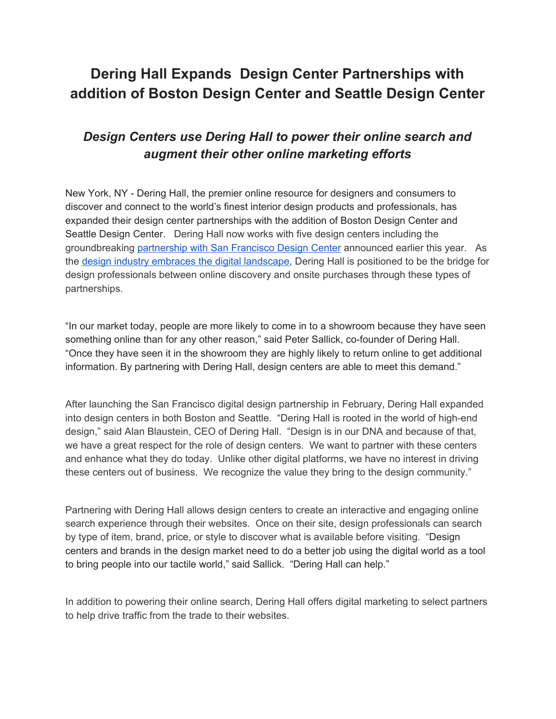## **Dering Hall Expands Design Center Partnerships with addition of Boston Design Center and Seattle Design Center**

## *Design Centers use Dering Hall to power their online search and augment their other online marketing efforts*

New York, NY - Dering Hall, the premier online resource for designers and consumers to discover and connect to the world's finest interior design products and professionals, has expanded their design center partnerships with the addition of Boston Design Center and Seattle Design Center. Dering Hall now works with five design centers including the groundbreaking [partnership](http://virtual-strategy.com/2018/07/02/dering-hall-grows-trade-program-34-in-6-months/) with San Francisco Design Center announced earlier this year. As the design industry embraces the digital [landscape,](https://www.prweb.com/releases/2018/06/prweb15556956.htm) Dering Hall is positioned to be the bridge for design professionals between online discovery and onsite purchases through these types of partnerships.

"In our market today, people are more likely to come in to a showroom because they have seen something online than for any other reason," said Peter Sallick, co-founder of Dering Hall. "Once they have seen it in the showroom they are highly likely to return online to get additional information. By partnering with Dering Hall, design centers are able to meet this demand."

After launching the San Francisco digital design partnership in February, Dering Hall expanded into design centers in both Boston and Seattle. "Dering Hall is rooted in the world of high-end design," said Alan Blaustein, CEO of Dering Hall. "Design is in our DNA and because of that, we have a great respect for the role of design centers. We want to partner with these centers and enhance what they do today. Unlike other digital platforms, we have no interest in driving these centers out of business. We recognize the value they bring to the design community."

Partnering with Dering Hall allows design centers to create an interactive and engaging online search experience through their websites. Once on their site, design professionals can search by type of item, brand, price, or style to discover what is available before visiting. "Design centers and brands in the design market need to do a better job using the digital world as a tool to bring people into our tactile world," said Sallick. "Dering Hall can help."

In addition to powering their online search, Dering Hall offers digital marketing to select partners to help drive traffic from the trade to their websites.